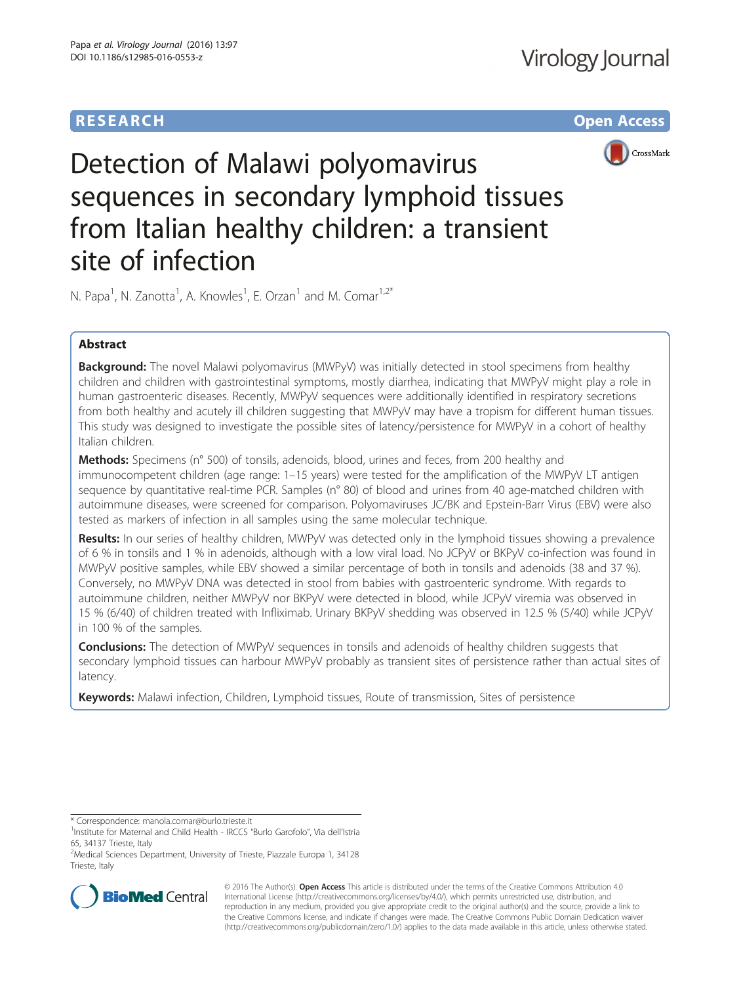# **RESEARCH CHE Open Access**



Detection of Malawi polyomavirus sequences in secondary lymphoid tissues from Italian healthy children: a transient site of infection

N. Papa<sup>1</sup>, N. Zanotta<sup>1</sup>, A. Knowles<sup>1</sup>, E. Orzan<sup>1</sup> and M. Comar<sup>1,2\*</sup>

# Abstract

Background: The novel Malawi polyomavirus (MWPyV) was initially detected in stool specimens from healthy children and children with gastrointestinal symptoms, mostly diarrhea, indicating that MWPyV might play a role in human gastroenteric diseases. Recently, MWPyV sequences were additionally identified in respiratory secretions from both healthy and acutely ill children suggesting that MWPyV may have a tropism for different human tissues. This study was designed to investigate the possible sites of latency/persistence for MWPyV in a cohort of healthy Italian children.

Methods: Specimens (n° 500) of tonsils, adenoids, blood, urines and feces, from 200 healthy and immunocompetent children (age range: 1–15 years) were tested for the amplification of the MWPyV LT antigen sequence by quantitative real-time PCR. Samples (n° 80) of blood and urines from 40 age-matched children with autoimmune diseases, were screened for comparison. Polyomaviruses JC/BK and Epstein-Barr Virus (EBV) were also tested as markers of infection in all samples using the same molecular technique.

Results: In our series of healthy children, MWPyV was detected only in the lymphoid tissues showing a prevalence of 6 % in tonsils and 1 % in adenoids, although with a low viral load. No JCPyV or BKPyV co-infection was found in MWPyV positive samples, while EBV showed a similar percentage of both in tonsils and adenoids (38 and 37 %). Conversely, no MWPyV DNA was detected in stool from babies with gastroenteric syndrome. With regards to autoimmune children, neither MWPyV nor BKPyV were detected in blood, while JCPyV viremia was observed in 15 % (6/40) of children treated with Infliximab. Urinary BKPyV shedding was observed in 12.5 % (5/40) while JCPyV in 100 % of the samples.

**Conclusions:** The detection of MWPyV sequences in tonsils and adenoids of healthy children suggests that secondary lymphoid tissues can harbour MWPyV probably as transient sites of persistence rather than actual sites of latency.

Keywords: Malawi infection, Children, Lymphoid tissues, Route of transmission, Sites of persistence

\* Correspondence: [manola.comar@burlo.trieste.it](mailto:manola.comar@burlo.trieste.it) <sup>1</sup>

<sup>2</sup> Medical Sciences Department, University of Trieste, Piazzale Europa 1, 34128 Trieste, Italy



© 2016 The Author(s). Open Access This article is distributed under the terms of the Creative Commons Attribution 4.0 International License [\(http://creativecommons.org/licenses/by/4.0/](http://creativecommons.org/licenses/by/4.0/)), which permits unrestricted use, distribution, and reproduction in any medium, provided you give appropriate credit to the original author(s) and the source, provide a link to the Creative Commons license, and indicate if changes were made. The Creative Commons Public Domain Dedication waiver [\(http://creativecommons.org/publicdomain/zero/1.0/](http://creativecommons.org/publicdomain/zero/1.0/)) applies to the data made available in this article, unless otherwise stated.

<sup>&</sup>lt;sup>1</sup>Institute for Maternal and Child Health - IRCCS "Burlo Garofolo", Via dell'Istria 65, 34137 Trieste, Italy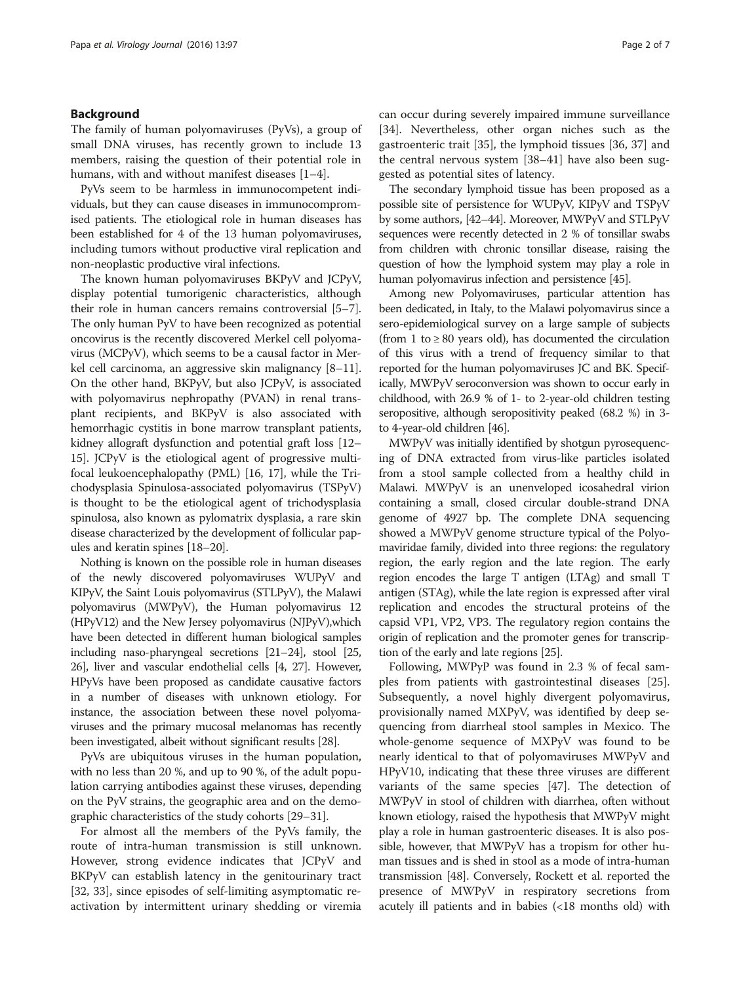#### Background

The family of human polyomaviruses (PyVs), a group of small DNA viruses, has recently grown to include 13 members, raising the question of their potential role in humans, with and without manifest diseases [[1](#page-5-0)–[4\]](#page-5-0).

PyVs seem to be harmless in immunocompetent individuals, but they can cause diseases in immunocompromised patients. The etiological role in human diseases has been established for 4 of the 13 human polyomaviruses, including tumors without productive viral replication and non-neoplastic productive viral infections.

The known human polyomaviruses BKPyV and JCPyV, display potential tumorigenic characteristics, although their role in human cancers remains controversial [[5](#page-5-0)–[7](#page-5-0)]. The only human PyV to have been recognized as potential oncovirus is the recently discovered Merkel cell polyomavirus (MCPyV), which seems to be a causal factor in Merkel cell carcinoma, an aggressive skin malignancy [\[8](#page-5-0)–[11](#page-5-0)]. On the other hand, BKPyV, but also JCPyV, is associated with polyomavirus nephropathy (PVAN) in renal transplant recipients, and BKPyV is also associated with hemorrhagic cystitis in bone marrow transplant patients, kidney allograft dysfunction and potential graft loss [\[12](#page-5-0)– [15](#page-5-0)]. JCPyV is the etiological agent of progressive multifocal leukoencephalopathy (PML) [[16, 17\]](#page-5-0), while the Trichodysplasia Spinulosa-associated polyomavirus (TSPyV) is thought to be the etiological agent of trichodysplasia spinulosa, also known as pylomatrix dysplasia, a rare skin disease characterized by the development of follicular papules and keratin spines [\[18](#page-5-0)–[20](#page-5-0)].

Nothing is known on the possible role in human diseases of the newly discovered polyomaviruses WUPyV and KIPyV, the Saint Louis polyomavirus (STLPyV), the Malawi polyomavirus (MWPyV), the Human polyomavirus 12 (HPyV12) and the New Jersey polyomavirus (NJPyV),which have been detected in different human biological samples including naso-pharyngeal secretions [\[21](#page-5-0)–[24\]](#page-5-0), stool [\[25](#page-5-0), [26](#page-5-0)], liver and vascular endothelial cells [[4](#page-5-0), [27](#page-5-0)]. However, HPyVs have been proposed as candidate causative factors in a number of diseases with unknown etiology. For instance, the association between these novel polyomaviruses and the primary mucosal melanomas has recently been investigated, albeit without significant results [[28\]](#page-5-0).

PyVs are ubiquitous viruses in the human population, with no less than 20 %, and up to 90 %, of the adult population carrying antibodies against these viruses, depending on the PyV strains, the geographic area and on the demographic characteristics of the study cohorts [\[29](#page-5-0)–[31](#page-5-0)].

For almost all the members of the PyVs family, the route of intra-human transmission is still unknown. However, strong evidence indicates that JCPyV and BKPyV can establish latency in the genitourinary tract [[32, 33\]](#page-6-0), since episodes of self-limiting asymptomatic reactivation by intermittent urinary shedding or viremia can occur during severely impaired immune surveillance [[34\]](#page-6-0). Nevertheless, other organ niches such as the gastroenteric trait [[35\]](#page-6-0), the lymphoid tissues [[36](#page-6-0), [37](#page-6-0)] and the central nervous system [[38](#page-6-0)–[41\]](#page-6-0) have also been suggested as potential sites of latency.

The secondary lymphoid tissue has been proposed as a possible site of persistence for WUPyV, KIPyV and TSPyV by some authors, [\[42](#page-6-0)–[44\]](#page-6-0). Moreover, MWPyV and STLPyV sequences were recently detected in 2 % of tonsillar swabs from children with chronic tonsillar disease, raising the question of how the lymphoid system may play a role in human polyomavirus infection and persistence [\[45](#page-6-0)].

Among new Polyomaviruses, particular attention has been dedicated, in Italy, to the Malawi polyomavirus since a sero-epidemiological survey on a large sample of subjects (from 1 to  $\geq$  80 years old), has documented the circulation of this virus with a trend of frequency similar to that reported for the human polyomaviruses JC and BK. Specifically, MWPyV seroconversion was shown to occur early in childhood, with 26.9 % of 1- to 2-year-old children testing seropositive, although seropositivity peaked (68.2 %) in 3 to 4-year-old children [\[46\]](#page-6-0).

MWPyV was initially identified by shotgun pyrosequencing of DNA extracted from virus-like particles isolated from a stool sample collected from a healthy child in Malawi. MWPyV is an unenveloped icosahedral virion containing a small, closed circular double-strand DNA genome of 4927 bp. The complete DNA sequencing showed a MWPyV genome structure typical of the Polyomaviridae family, divided into three regions: the regulatory region, the early region and the late region. The early region encodes the large T antigen (LTAg) and small T antigen (STAg), while the late region is expressed after viral replication and encodes the structural proteins of the capsid VP1, VP2, VP3. The regulatory region contains the origin of replication and the promoter genes for transcription of the early and late regions [[25](#page-5-0)].

Following, MWPyP was found in 2.3 % of fecal samples from patients with gastrointestinal diseases [\[25](#page-5-0)]. Subsequently, a novel highly divergent polyomavirus, provisionally named MXPyV, was identified by deep sequencing from diarrheal stool samples in Mexico. The whole-genome sequence of MXPyV was found to be nearly identical to that of polyomaviruses MWPyV and HPyV10, indicating that these three viruses are different variants of the same species [\[47](#page-6-0)]. The detection of MWPyV in stool of children with diarrhea, often without known etiology, raised the hypothesis that MWPyV might play a role in human gastroenteric diseases. It is also possible, however, that MWPyV has a tropism for other human tissues and is shed in stool as a mode of intra-human transmission [\[48\]](#page-6-0). Conversely, Rockett et al. reported the presence of MWPyV in respiratory secretions from acutely ill patients and in babies (<18 months old) with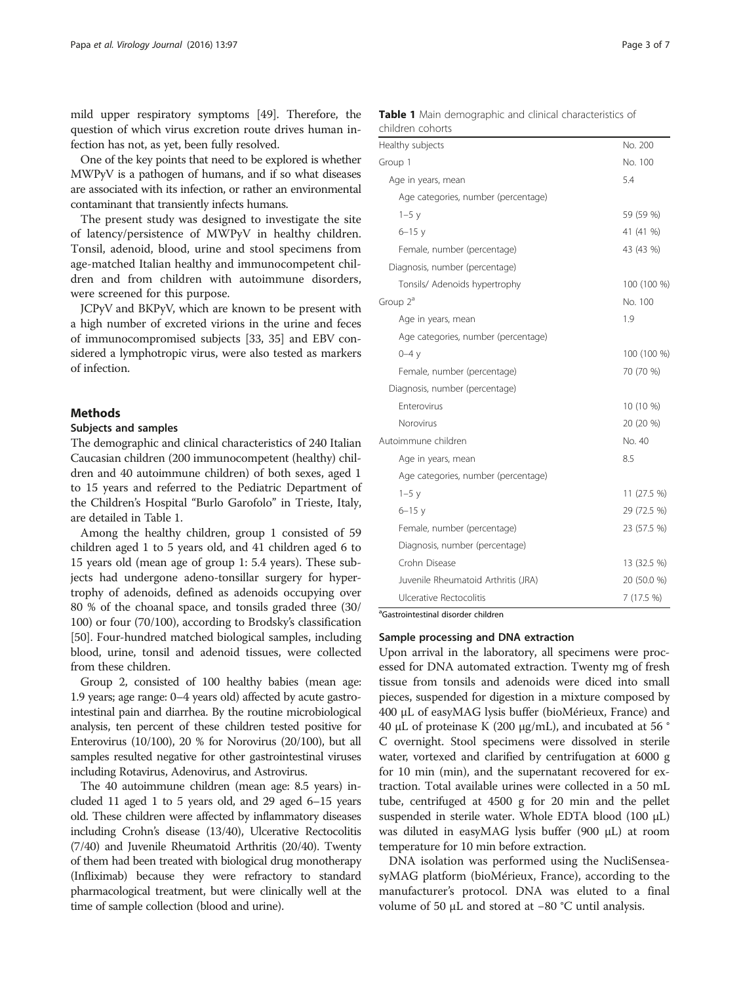mild upper respiratory symptoms [[49](#page-6-0)]. Therefore, the question of which virus excretion route drives human infection has not, as yet, been fully resolved.

One of the key points that need to be explored is whether MWPyV is a pathogen of humans, and if so what diseases are associated with its infection, or rather an environmental contaminant that transiently infects humans.

The present study was designed to investigate the site of latency/persistence of MWPyV in healthy children. Tonsil, adenoid, blood, urine and stool specimens from age-matched Italian healthy and immunocompetent children and from children with autoimmune disorders, were screened for this purpose.

JCPyV and BKPyV, which are known to be present with a high number of excreted virions in the urine and feces of immunocompromised subjects [\[33, 35\]](#page-6-0) and EBV considered a lymphotropic virus, were also tested as markers of infection.

#### Methods

### Subjects and samples

The demographic and clinical characteristics of 240 Italian Caucasian children (200 immunocompetent (healthy) children and 40 autoimmune children) of both sexes, aged 1 to 15 years and referred to the Pediatric Department of the Children's Hospital "Burlo Garofolo" in Trieste, Italy, are detailed in Table 1.

Among the healthy children, group 1 consisted of 59 children aged 1 to 5 years old, and 41 children aged 6 to 15 years old (mean age of group 1: 5.4 years). These subjects had undergone adeno-tonsillar surgery for hypertrophy of adenoids, defined as adenoids occupying over 80 % of the choanal space, and tonsils graded three (30/ 100) or four (70/100), according to Brodsky's classification [[50](#page-6-0)]. Four-hundred matched biological samples, including blood, urine, tonsil and adenoid tissues, were collected from these children.

Group 2, consisted of 100 healthy babies (mean age: 1.9 years; age range: 0–4 years old) affected by acute gastrointestinal pain and diarrhea. By the routine microbiological analysis, ten percent of these children tested positive for Enterovirus (10/100), 20 % for Norovirus (20/100), but all samples resulted negative for other gastrointestinal viruses including Rotavirus, Adenovirus, and Astrovirus.

The 40 autoimmune children (mean age: 8.5 years) included 11 aged 1 to 5 years old, and 29 aged 6–15 years old. These children were affected by inflammatory diseases including Crohn's disease (13/40), Ulcerative Rectocolitis (7/40) and Juvenile Rheumatoid Arthritis (20/40). Twenty of them had been treated with biological drug monotherapy (Infliximab) because they were refractory to standard pharmacological treatment, but were clinically well at the time of sample collection (blood and urine).

|                  |  |  | <b>Table 1</b> Main demographic and clinical characteristics of |  |
|------------------|--|--|-----------------------------------------------------------------|--|
| children cohorts |  |  |                                                                 |  |

| Healthy subjects                    | No. 200     |
|-------------------------------------|-------------|
| Group 1                             | No. 100     |
| Age in years, mean                  | 5.4         |
| Age categories, number (percentage) |             |
| $1-5y$                              | 59 (59 %)   |
| $6 - 15y$                           | 41 (41 %)   |
| Female, number (percentage)         | 43 (43 %)   |
| Diagnosis, number (percentage)      |             |
| Tonsils/ Adenoids hypertrophy       | 100 (100 %) |
| Group $2^a$                         | No. 100     |
| Age in years, mean                  | 1.9         |
| Age categories, number (percentage) |             |
| $0-4y$                              | 100 (100 %) |
| Female, number (percentage)         | 70 (70 %)   |
| Diagnosis, number (percentage)      |             |
| Enterovirus                         | 10 (10 %)   |
| Norovirus                           | 20 (20 %)   |
| Autoimmune children                 | No. 40      |
| Age in years, mean                  | 8.5         |
| Age categories, number (percentage) |             |
| $1-5y$                              | 11 (27.5 %) |
| $6 - 15$ $v$                        | 29 (72.5 %) |
| Female, number (percentage)         | 23 (57.5 %) |
| Diagnosis, number (percentage)      |             |
| Crohn Disease                       | 13 (32.5 %) |
| Juvenile Rheumatoid Arthritis (JRA) | 20 (50.0 %) |
| Ulcerative Rectocolitis             | 7 (17.5 %)  |

<sup>a</sup>Gastrointestinal disorder children

#### Sample processing and DNA extraction

Upon arrival in the laboratory, all specimens were processed for DNA automated extraction. Twenty mg of fresh tissue from tonsils and adenoids were diced into small pieces, suspended for digestion in a mixture composed by 400 μL of easyMAG lysis buffer (bioMérieux, France) and 40 μL of proteinase K (200 μg/mL), and incubated at 56 $\degree$ C overnight. Stool specimens were dissolved in sterile water, vortexed and clarified by centrifugation at 6000 g for 10 min (min), and the supernatant recovered for extraction. Total available urines were collected in a 50 mL tube, centrifuged at 4500 g for 20 min and the pellet suspended in sterile water. Whole EDTA blood  $(100 \mu L)$ was diluted in easyMAG lysis buffer (900 μL) at room temperature for 10 min before extraction.

DNA isolation was performed using the NucliSenseasyMAG platform (bioMérieux, France), according to the manufacturer's protocol. DNA was eluted to a final volume of 50 μL and stored at −80 °C until analysis.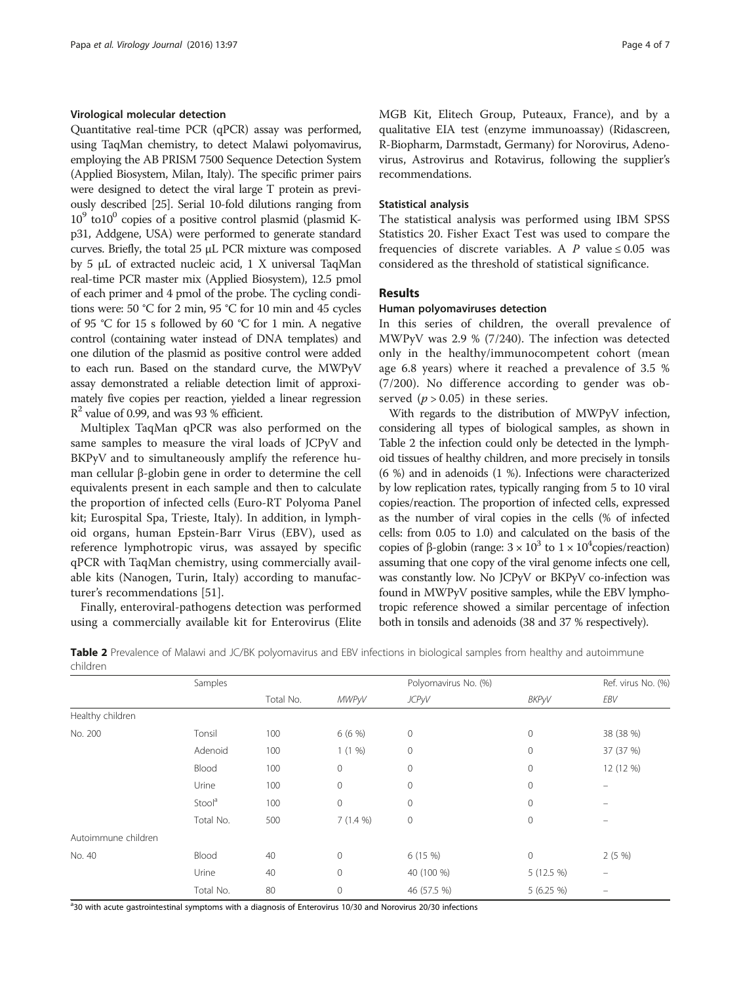#### Virological molecular detection

Quantitative real-time PCR (qPCR) assay was performed, using TaqMan chemistry, to detect Malawi polyomavirus, employing the AB PRISM 7500 Sequence Detection System (Applied Biosystem, Milan, Italy). The specific primer pairs were designed to detect the viral large T protein as previously described [[25](#page-5-0)]. Serial 10-fold dilutions ranging from  $10^9$  to $10^0$  copies of a positive control plasmid (plasmid Kp31, Addgene, USA) were performed to generate standard curves. Briefly, the total 25 μL PCR mixture was composed by 5 μL of extracted nucleic acid, 1 X universal TaqMan real-time PCR master mix (Applied Biosystem), 12.5 pmol of each primer and 4 pmol of the probe. The cycling conditions were: 50 °C for 2 min, 95 °C for 10 min and 45 cycles of 95 °C for 15 s followed by 60 °C for 1 min. A negative control (containing water instead of DNA templates) and one dilution of the plasmid as positive control were added to each run. Based on the standard curve, the MWPyV assay demonstrated a reliable detection limit of approximately five copies per reaction, yielded a linear regression  $R<sup>2</sup>$  value of 0.99, and was 93 % efficient.

Multiplex TaqMan qPCR was also performed on the same samples to measure the viral loads of JCPyV and BKPyV and to simultaneously amplify the reference human cellular β-globin gene in order to determine the cell equivalents present in each sample and then to calculate the proportion of infected cells (Euro-RT Polyoma Panel kit; Eurospital Spa, Trieste, Italy). In addition, in lymphoid organs, human Epstein-Barr Virus (EBV), used as reference lymphotropic virus, was assayed by specific qPCR with TaqMan chemistry, using commercially available kits (Nanogen, Turin, Italy) according to manufacturer's recommendations [[51\]](#page-6-0).

Finally, enteroviral-pathogens detection was performed using a commercially available kit for Enterovirus (Elite MGB Kit, Elitech Group, Puteaux, France), and by a qualitative EIA test (enzyme immunoassay) (Ridascreen, R-Biopharm, Darmstadt, Germany) for Norovirus, Adenovirus, Astrovirus and Rotavirus, following the supplier's recommendations.

#### Statistical analysis

The statistical analysis was performed using IBM SPSS Statistics 20. Fisher Exact Test was used to compare the frequencies of discrete variables. A P value  $\leq 0.05$  was considered as the threshold of statistical significance.

#### Results

#### Human polyomaviruses detection

In this series of children, the overall prevalence of MWPyV was 2.9 % (7/240). The infection was detected only in the healthy/immunocompetent cohort (mean age 6.8 years) where it reached a prevalence of 3.5 % (7/200). No difference according to gender was observed  $(p > 0.05)$  in these series.

With regards to the distribution of MWPyV infection, considering all types of biological samples, as shown in Table 2 the infection could only be detected in the lymphoid tissues of healthy children, and more precisely in tonsils (6 %) and in adenoids (1 %). Infections were characterized by low replication rates, typically ranging from 5 to 10 viral copies/reaction. The proportion of infected cells, expressed as the number of viral copies in the cells (% of infected cells: from 0.05 to 1.0) and calculated on the basis of the copies of β-globin (range:  $3 \times 10^3$  to  $1 \times 10^4$ copies/reaction) assuming that one copy of the viral genome infects one cell, was constantly low. No JCPyV or BKPyV co-infection was found in MWPyV positive samples, while the EBV lymphotropic reference showed a similar percentage of infection both in tonsils and adenoids (38 and 37 % respectively).

|          | Table 2 Prevalence of Malawi and JC/BK polyomavirus and EBV infections in biological samples from healthy and autoimmune |  |  |
|----------|--------------------------------------------------------------------------------------------------------------------------|--|--|
| children |                                                                                                                          |  |  |

|                     | Samples            |           |              | Polyomavirus No. (%) |              | Ref. virus No. (%)       |  |
|---------------------|--------------------|-----------|--------------|----------------------|--------------|--------------------------|--|
|                     |                    | Total No. | <b>MWPyV</b> | <b>JCPyV</b>         | BKPyV        | EBV                      |  |
| Healthy children    |                    |           |              |                      |              |                          |  |
| No. 200             | Tonsil             | 100       | $6(6\%)$     | $\mathbf 0$          | $\mathbf 0$  | 38 (38 %)                |  |
|                     | Adenoid            | 100       | 1(1%)        | $\mathbf 0$          | $\mathbf{0}$ | 37 (37 %)                |  |
|                     | Blood              | 100       | $\mathbf 0$  | $\mathbf 0$          | 0            | 12 (12 %)                |  |
|                     | Urine              | 100       | $\mathbf{0}$ | $\mathbf 0$          | $\mathbf{0}$ |                          |  |
|                     | Stool <sup>a</sup> | 100       | $\mathbf 0$  | $\mathbf 0$          | $\mathbf 0$  |                          |  |
|                     | Total No.          | 500       | $7(1.4\%)$   | $\mathbf 0$          | $\mathbf{0}$ |                          |  |
| Autoimmune children |                    |           |              |                      |              |                          |  |
| No. 40              | Blood              | 40        | $\mathbf{0}$ | 6(15%)               | $\circ$      | 2(5%                     |  |
|                     | Urine              | 40        | $\mathbf{0}$ | 40 (100 %)           | 5 (12.5 %)   | $\overline{\phantom{m}}$ |  |
|                     | Total No.          | 80        | $\mathbf 0$  | 46 (57.5 %)          | 5(6.25%)     |                          |  |

<sup>a</sup>30 with acute gastrointestinal symptoms with a diagnosis of Enterovirus 10/30 and Norovirus 20/30 infections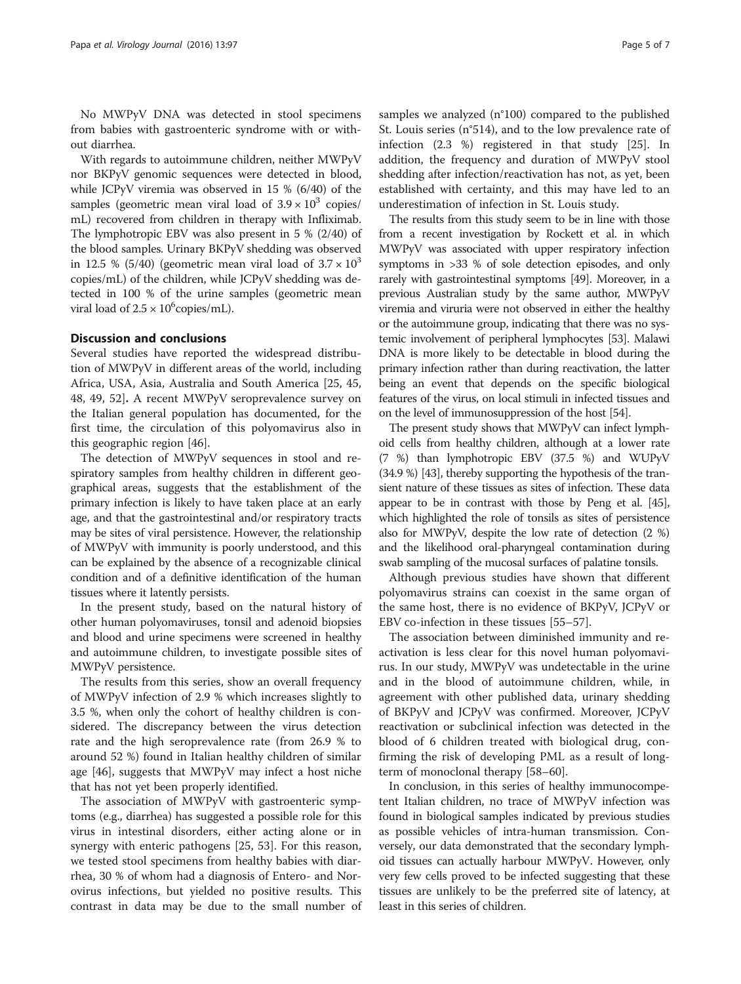No MWPyV DNA was detected in stool specimens from babies with gastroenteric syndrome with or without diarrhea.

With regards to autoimmune children, neither MWPyV nor BKPyV genomic sequences were detected in blood, while JCPyV viremia was observed in 15 % (6/40) of the samples (geometric mean viral load of  $3.9 \times 10^3$  copies/ mL) recovered from children in therapy with Infliximab. The lymphotropic EBV was also present in 5 % (2/40) of the blood samples. Urinary BKPyV shedding was observed in 12.5 % (5/40) (geometric mean viral load of  $3.7 \times 10^3$ copies/mL) of the children, while JCPyV shedding was detected in 100 % of the urine samples (geometric mean viral load of  $2.5 \times 10^6$ copies/mL).

### Discussion and conclusions

Several studies have reported the widespread distribution of MWPyV in different areas of the world, including Africa, USA, Asia, Australia and South America [\[25,](#page-5-0) [45](#page-6-0), [48, 49](#page-6-0), [52\]](#page-6-0). A recent MWPyV seroprevalence survey on the Italian general population has documented, for the first time, the circulation of this polyomavirus also in this geographic region [[46\]](#page-6-0).

The detection of MWPyV sequences in stool and respiratory samples from healthy children in different geographical areas, suggests that the establishment of the primary infection is likely to have taken place at an early age, and that the gastrointestinal and/or respiratory tracts may be sites of viral persistence. However, the relationship of MWPyV with immunity is poorly understood, and this can be explained by the absence of a recognizable clinical condition and of a definitive identification of the human tissues where it latently persists.

In the present study, based on the natural history of other human polyomaviruses, tonsil and adenoid biopsies and blood and urine specimens were screened in healthy and autoimmune children, to investigate possible sites of MWPyV persistence.

The results from this series, show an overall frequency of MWPyV infection of 2.9 % which increases slightly to 3.5 %, when only the cohort of healthy children is considered. The discrepancy between the virus detection rate and the high seroprevalence rate (from 26.9 % to around 52 %) found in Italian healthy children of similar age [[46\]](#page-6-0), suggests that MWPyV may infect a host niche that has not yet been properly identified.

The association of MWPyV with gastroenteric symptoms (e.g., diarrhea) has suggested a possible role for this virus in intestinal disorders, either acting alone or in synergy with enteric pathogens [[25,](#page-5-0) [53](#page-6-0)]. For this reason, we tested stool specimens from healthy babies with diarrhea, 30 % of whom had a diagnosis of Entero- and Norovirus infections, but yielded no positive results. This contrast in data may be due to the small number of samples we analyzed (n°100) compared to the published St. Louis series (n°514), and to the low prevalence rate of infection (2.3 %) registered in that study [\[25](#page-5-0)]. In addition, the frequency and duration of MWPyV stool shedding after infection/reactivation has not, as yet, been established with certainty, and this may have led to an underestimation of infection in St. Louis study.

The results from this study seem to be in line with those from a recent investigation by Rockett et al. in which MWPyV was associated with upper respiratory infection symptoms in >33 % of sole detection episodes, and only rarely with gastrointestinal symptoms [\[49\]](#page-6-0). Moreover, in a previous Australian study by the same author, MWPyV viremia and viruria were not observed in either the healthy or the autoimmune group, indicating that there was no systemic involvement of peripheral lymphocytes [[53](#page-6-0)]. Malawi DNA is more likely to be detectable in blood during the primary infection rather than during reactivation, the latter being an event that depends on the specific biological features of the virus, on local stimuli in infected tissues and on the level of immunosuppression of the host [\[54](#page-6-0)].

The present study shows that MWPyV can infect lymphoid cells from healthy children, although at a lower rate (7 %) than lymphotropic EBV (37.5 %) and WUPyV (34.9 %) [[43](#page-6-0)], thereby supporting the hypothesis of the transient nature of these tissues as sites of infection. These data appear to be in contrast with those by Peng et al. [\[45](#page-6-0)], which highlighted the role of tonsils as sites of persistence also for MWPyV, despite the low rate of detection (2 %) and the likelihood oral-pharyngeal contamination during swab sampling of the mucosal surfaces of palatine tonsils.

Although previous studies have shown that different polyomavirus strains can coexist in the same organ of the same host, there is no evidence of BKPyV, JCPyV or EBV co-infection in these tissues [[55](#page-6-0)–[57](#page-6-0)].

The association between diminished immunity and reactivation is less clear for this novel human polyomavirus. In our study, MWPyV was undetectable in the urine and in the blood of autoimmune children, while, in agreement with other published data, urinary shedding of BKPyV and JCPyV was confirmed. Moreover, JCPyV reactivation or subclinical infection was detected in the blood of 6 children treated with biological drug, confirming the risk of developing PML as a result of longterm of monoclonal therapy [[58](#page-6-0)–[60](#page-6-0)].

In conclusion, in this series of healthy immunocompetent Italian children, no trace of MWPyV infection was found in biological samples indicated by previous studies as possible vehicles of intra-human transmission. Conversely, our data demonstrated that the secondary lymphoid tissues can actually harbour MWPyV. However, only very few cells proved to be infected suggesting that these tissues are unlikely to be the preferred site of latency, at least in this series of children.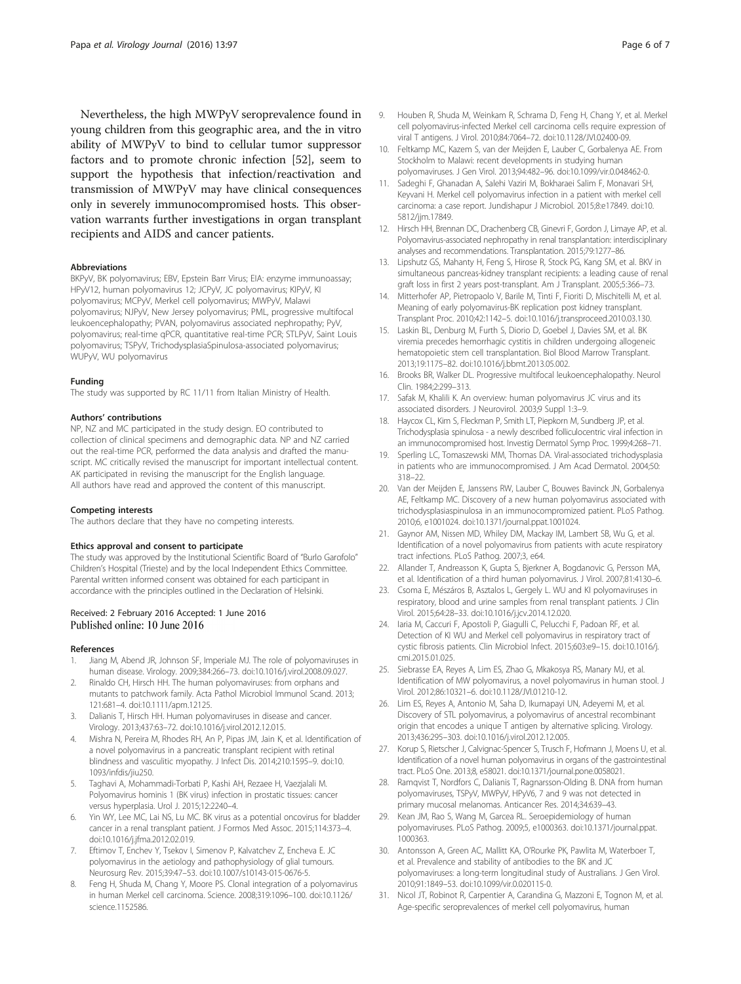<span id="page-5-0"></span>Nevertheless, the high MWPyV seroprevalence found in young children from this geographic area, and the in vitro ability of MWPyV to bind to cellular tumor suppressor factors and to promote chronic infection [[52](#page-6-0)], seem to support the hypothesis that infection/reactivation and transmission of MWPyV may have clinical consequences only in severely immunocompromised hosts. This observation warrants further investigations in organ transplant recipients and AIDS and cancer patients.

#### Abbreviations

BKPyV, BK polyomavirus; EBV, Epstein Barr Virus; EIA: enzyme immunoassay; HPyV12, human polyomavirus 12; JCPyV, JC polyomavirus; KIPyV, KI polyomavirus; MCPyV, Merkel cell polyomavirus; MWPyV, Malawi polyomavirus; NJPyV, New Jersey polyomavirus; PML, progressive multifocal leukoencephalopathy; PVAN, polyomavirus associated nephropathy; PyV, polyomavirus; real-time qPCR, quantitative real-time PCR; STLPyV, Saint Louis polyomavirus; TSPyV, TrichodysplasiaSpinulosa-associated polyomavirus; WUPyV, WU polyomavirus

#### Funding

The study was supported by RC 11/11 from Italian Ministry of Health.

#### Authors' contributions

NP, NZ and MC participated in the study design. EO contributed to collection of clinical specimens and demographic data. NP and NZ carried out the real-time PCR, performed the data analysis and drafted the manuscript. MC critically revised the manuscript for important intellectual content. AK participated in revising the manuscript for the English language. All authors have read and approved the content of this manuscript.

#### Competing interests

The authors declare that they have no competing interests.

#### Ethics approval and consent to participate

The study was approved by the Institutional Scientific Board of "Burlo Garofolo" Children's Hospital (Trieste) and by the local Independent Ethics Committee. Parental written informed consent was obtained for each participant in accordance with the principles outlined in the Declaration of Helsinki.

# Received: 2 February 2016 Accepted: 1 June 2016<br>Published online: 10 June 2016

#### References

- 1. Jiang M, Abend JR, Johnson SF, Imperiale MJ. The role of polyomaviruses in human disease. Virology. 2009;384:266–73. doi:[10.1016/j.virol.2008.09.027.](http://dx.doi.org/10.1016/j.virol.2008.09.027)
- 2. Rinaldo CH, Hirsch HH. The human polyomaviruses: from orphans and mutants to patchwork family. Acta Pathol Microbiol Immunol Scand. 2013; 121:681–4. doi:[10.1111/apm.12125](http://dx.doi.org/10.1111/apm.12125).
- 3. Dalianis T, Hirsch HH. Human polyomaviruses in disease and cancer. Virology. 2013;437:63–72. doi[:10.1016/j.virol.2012.12.015](http://dx.doi.org/10.1016/j.virol.2012.12.015).
- 4. Mishra N, Pereira M, Rhodes RH, An P, Pipas JM, Jain K, et al. Identification of a novel polyomavirus in a pancreatic transplant recipient with retinal blindness and vasculitic myopathy. J Infect Dis. 2014;210:1595–9. doi[:10.](http://dx.doi.org/10.1093/infdis/jiu250) [1093/infdis/jiu250](http://dx.doi.org/10.1093/infdis/jiu250).
- 5. Taghavi A, Mohammadi-Torbati P, Kashi AH, Rezaee H, Vaezjalali M. Polyomavirus hominis 1 (BK virus) infection in prostatic tissues: cancer versus hyperplasia. Urol J. 2015;12:2240–4.
- 6. Yin WY, Lee MC, Lai NS, Lu MC. BK virus as a potential oncovirus for bladder cancer in a renal transplant patient. J Formos Med Assoc. 2015;114:373–4. doi[:10.1016/j.jfma.2012.02.019](http://dx.doi.org/10.1016/j.jfma.2012.02.019).
- 7. Eftimov T, Enchev Y, Tsekov I, Simenov P, Kalvatchev Z, Encheva E. JC polyomavirus in the aetiology and pathophysiology of glial tumours. Neurosurg Rev. 2015;39:47–53. doi:[10.1007/s10143-015-0676-5](http://dx.doi.org/10.1007/s10143-015-0676-5).
- Feng H, Shuda M, Chang Y, Moore PS. Clonal integration of a polyomavirus in human Merkel cell carcinoma. Science. 2008;319:1096–100. doi[:10.1126/](http://dx.doi.org/10.1126/science.1152586) [science.1152586.](http://dx.doi.org/10.1126/science.1152586)
- 9. Houben R, Shuda M, Weinkam R, Schrama D, Feng H, Chang Y, et al. Merkel cell polyomavirus-infected Merkel cell carcinoma cells require expression of viral T antigens. J Virol. 2010;84:7064–72. doi[:10.1128/JVI.02400-09.](http://dx.doi.org/10.1128/JVI.02400-09)
- 10. Feltkamp MC, Kazem S, van der Meijden E, Lauber C, Gorbalenya AE. From Stockholm to Malawi: recent developments in studying human polyomaviruses. J Gen Virol. 2013;94:482–96. doi[:10.1099/vir.0.048462-0.](http://dx.doi.org/10.1099/vir.0.048462-0)
- 11. Sadeghi F, Ghanadan A, Salehi Vaziri M, Bokharaei Salim F, Monavari SH, Keyvani H. Merkel cell polyomavirus infection in a patient with merkel cell carcinoma: a case report. Jundishapur J Microbiol. 2015;8:e17849. doi:[10.](http://dx.doi.org/10.5812/jjm.17849) [5812/jjm.17849.](http://dx.doi.org/10.5812/jjm.17849)
- 12. Hirsch HH, Brennan DC, Drachenberg CB, Ginevri F, Gordon J, Limaye AP, et al. Polyomavirus-associated nephropathy in renal transplantation: interdisciplinary analyses and recommendations. Transplantation. 2015;79:1277–86.
- 13. Lipshutz GS, Mahanty H, Feng S, Hirose R, Stock PG, Kang SM, et al. BKV in simultaneous pancreas-kidney transplant recipients: a leading cause of renal graft loss in first 2 years post-transplant. Am J Transplant. 2005;5:366–73.
- 14. Mitterhofer AP, Pietropaolo V, Barile M, Tinti F, Fioriti D, Mischitelli M, et al. Meaning of early polyomavirus-BK replication post kidney transplant. Transplant Proc. 2010;42:1142–5. doi[:10.1016/j.transproceed.2010.03.130.](http://dx.doi.org/10.1016/j.transproceed.2010.03.130)
- 15. Laskin BL, Denburg M, Furth S, Diorio D, Goebel J, Davies SM, et al. BK viremia precedes hemorrhagic cystitis in children undergoing allogeneic hematopoietic stem cell transplantation. Biol Blood Marrow Transplant. 2013;19:1175–82. doi[:10.1016/j.bbmt.2013.05.002.](http://dx.doi.org/10.1016/j.bbmt.2013.05.002)
- 16. Brooks BR, Walker DL. Progressive multifocal leukoencephalopathy. Neurol Clin. 1984;2:299–313.
- 17. Safak M, Khalili K. An overview: human polyomavirus JC virus and its associated disorders. J Neurovirol. 2003;9 Suppl 1:3–9.
- 18. Haycox CL, Kim S, Fleckman P, Smith LT, Piepkorn M, Sundberg JP, et al. Trichodysplasia spinulosa - a newly described folliculocentric viral infection in an immunocompromised host. Investig Dermatol Symp Proc. 1999;4:268–71.
- 19. Sperling LC, Tomaszewski MM, Thomas DA. Viral-associated trichodysplasia in patients who are immunocompromised. J Am Acad Dermatol. 2004;50: 318–22.
- 20. Van der Meijden E, Janssens RW, Lauber C, Bouwes Bavinck JN, Gorbalenya AE, Feltkamp MC. Discovery of a new human polyomavirus associated with trichodysplasiaspinulosa in an immunocompromized patient. PLoS Pathog. 2010;6, e1001024. doi[:10.1371/journal.ppat.1001024](http://dx.doi.org/10.1371/journal.ppat.1001024).
- 21. Gaynor AM, Nissen MD, Whiley DM, Mackay IM, Lambert SB, Wu G, et al. Identification of a novel polyomavirus from patients with acute respiratory tract infections. PLoS Pathog. 2007;3, e64.
- 22. Allander T, Andreasson K, Gupta S, Bjerkner A, Bogdanovic G, Persson MA, et al. Identification of a third human polyomavirus. J Virol. 2007;81:4130–6.
- 23. Csoma E, Mészáros B, Asztalos L, Gergely L. WU and KI polyomaviruses in respiratory, blood and urine samples from renal transplant patients. J Clin Virol. 2015;64:28–33. doi[:10.1016/j.jcv.2014.12.020.](http://dx.doi.org/10.1016/j.jcv.2014.12.020)
- 24. Iaria M, Caccuri F, Apostoli P, Giagulli C, Pelucchi F, Padoan RF, et al. Detection of KI WU and Merkel cell polyomavirus in respiratory tract of cystic fibrosis patients. Clin Microbiol Infect. 2015;603:e9–15. doi[:10.1016/j.](http://dx.doi.org/10.1016/j.cmi.2015.01.025) [cmi.2015.01.025](http://dx.doi.org/10.1016/j.cmi.2015.01.025).
- 25. Siebrasse EA, Reyes A, Lim ES, Zhao G, Mkakosya RS, Manary MJ, et al. Identification of MW polyomavirus, a novel polyomavirus in human stool. J Virol. 2012;86:10321–6. doi:[10.1128/JVI.01210-12.](http://dx.doi.org/10.1128/JVI.01210-12)
- 26. Lim ES, Reyes A, Antonio M, Saha D, Ikumapayi UN, Adeyemi M, et al. Discovery of STL polyomavirus, a polyomavirus of ancestral recombinant origin that encodes a unique T antigen by alternative splicing. Virology. 2013;436:295–303. doi:[10.1016/j.virol.2012.12.005.](http://dx.doi.org/10.1016/j.virol.2012.12.005)
- 27. Korup S, Rietscher J, Calvignac-Spencer S, Trusch F, Hofmann J, Moens U, et al. Identification of a novel human polyomavirus in organs of the gastrointestinal tract. PLoS One. 2013;8, e58021. doi:[10.1371/journal.pone.0058021.](http://dx.doi.org/10.1371/journal.pone.0058021)
- 28. Ramqvist T, Nordfors C, Dalianis T, Ragnarsson-Olding B. DNA from human polyomaviruses, TSPyV, MWPyV, HPyV6, 7 and 9 was not detected in primary mucosal melanomas. Anticancer Res. 2014;34:639–43.
- 29. Kean JM, Rao S, Wang M, Garcea RL. Seroepidemiology of human polyomaviruses. PLoS Pathog. 2009;5, e1000363. doi[:10.1371/journal.ppat.](http://dx.doi.org/10.1371/journal.ppat.1000363) [1000363.](http://dx.doi.org/10.1371/journal.ppat.1000363)
- 30. Antonsson A, Green AC, Mallitt KA, O'Rourke PK, Pawlita M, Waterboer T, et al. Prevalence and stability of antibodies to the BK and JC polyomaviruses: a long-term longitudinal study of Australians. J Gen Virol. 2010;91:1849–53. doi[:10.1099/vir.0.020115-0.](http://dx.doi.org/10.1099/vir.0.020115-0)
- 31. Nicol JT, Robinot R, Carpentier A, Carandina G, Mazzoni E, Tognon M, et al. Age-specific seroprevalences of merkel cell polyomavirus, human